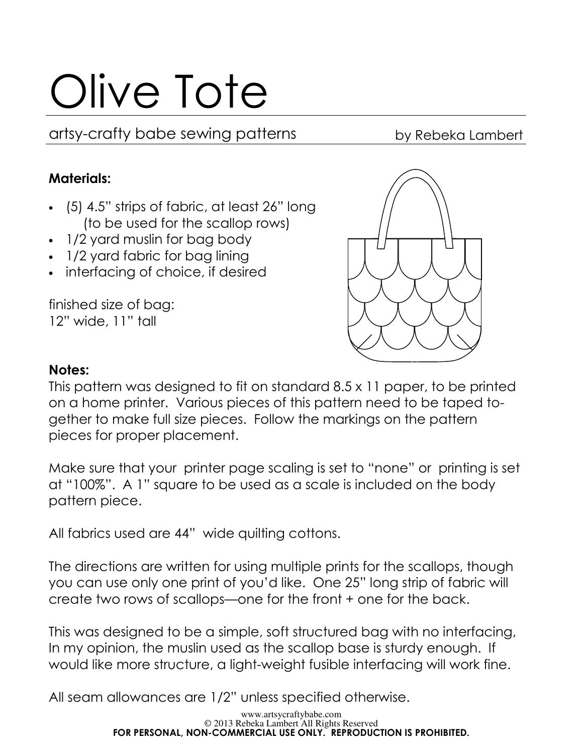# Olive Tote

artsy-crafty babe sewing patterns by Rebeka Lambert

## Materials:

- (5) 4.5" strips of fabric, at least 26" long (to be used for the scallop rows)
- 1/2 yard muslin for bag body
- 1/2 yard fabric for bag lining
- interfacing of choice, if desired

finished size of bag: 12" wide, 11" tall



#### Notes:

This pattern was designed to fit on standard 8.5 x 11 paper, to be printed on a home printer. Various pieces of this pattern need to be taped together to make full size pieces. Follow the markings on the pattern pieces for proper placement.

Make sure that your printer page scaling is set to "none" or printing is set at "100%". A 1" square to be used as a scale is included on the body pattern piece.

All fabrics used are 44" wide quilting cottons.

The directions are written for using multiple prints for the scallops, though you can use only one print of you'd like. One 25" long strip of fabric will create two rows of scallops—one for the front + one for the back.

This was designed to be a simple, soft structured bag with no interfacing, In my opinion, the muslin used as the scallop base is sturdy enough. If would like more structure, a light-weight fusible interfacing will work fine.

All seam allowances are 1/2" unless specified otherwise.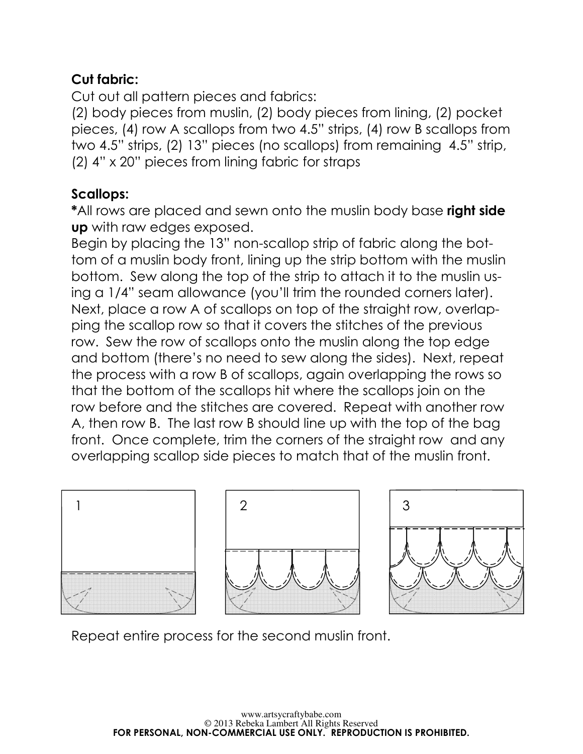# Cut fabric:

Cut out all pattern pieces and fabrics:

(2) body pieces from muslin, (2) body pieces from lining, (2) pocket pieces, (4) row A scallops from two 4.5" strips, (4) row B scallops from two 4.5" strips, (2) 13" pieces (no scallops) from remaining 4.5" strip, (2) 4" x 20" pieces from lining fabric for straps

# Scallops:

\*All rows are placed and sewn onto the muslin body base right side up with raw edges exposed.

Begin by placing the 13" non-scallop strip of fabric along the bottom of a muslin body front, lining up the strip bottom with the muslin bottom. Sew along the top of the strip to attach it to the muslin using a 1/4" seam allowance (you'll trim the rounded corners later). Next, place a row A of scallops on top of the straight row, overlapping the scallop row so that it covers the stitches of the previous row. Sew the row of scallops onto the muslin along the top edge and bottom (there's no need to sew along the sides). Next, repeat the process with a row B of scallops, again overlapping the rows so that the bottom of the scallops hit where the scallops join on the row before and the stitches are covered. Repeat with another row A, then row B. The last row B should line up with the top of the bag front. Once complete, trim the corners of the straight row and any overlapping scallop side pieces to match that of the muslin front.



Repeat entire process for the second muslin front.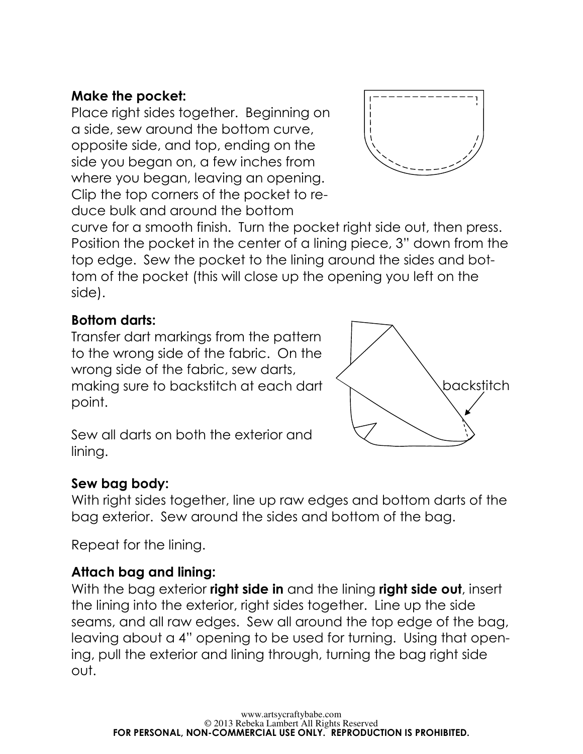## Make the pocket:

Place right sides together. Beginning on a side, sew around the bottom curve, opposite side, and top, ending on the side you began on, a few inches from where you began, leaving an opening. Clip the top corners of the pocket to reduce bulk and around the bottom



curve for a smooth finish. Turn the pocket right side out, then press. Position the pocket in the center of a lining piece, 3" down from the top edge. Sew the pocket to the lining around the sides and bottom of the pocket (this will close up the opening you left on the side).

#### Bottom darts:

Transfer dart markings from the pattern to the wrong side of the fabric. On the wrong side of the fabric, sew darts, making sure to backstitch at each dart point.



Sew all darts on both the exterior and lining.

#### Sew bag body:

With right sides together, line up raw edges and bottom darts of the bag exterior. Sew around the sides and bottom of the bag.

Repeat for the lining.

#### Attach bag and lining:

With the bag exterior **right side in** and the lining **right side out**, insert the lining into the exterior, right sides together. Line up the side seams, and all raw edges. Sew all around the top edge of the bag, leaving about a 4" opening to be used for turning. Using that opening, pull the exterior and lining through, turning the bag right side out.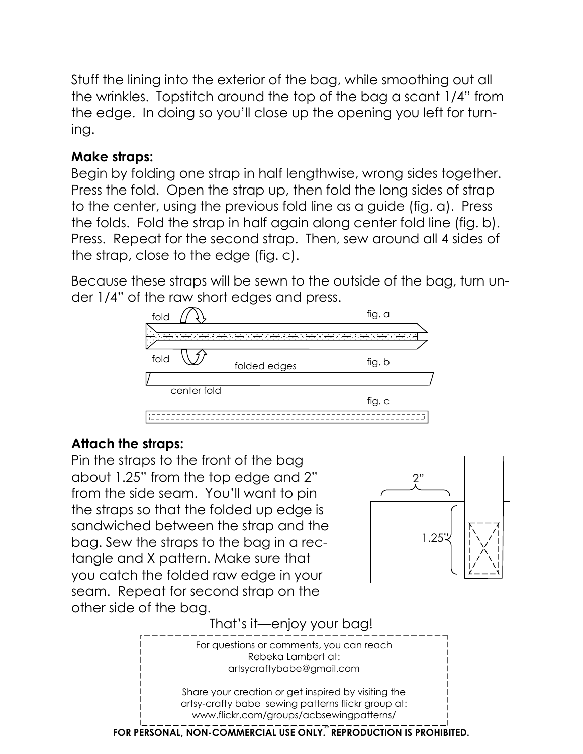Stuff the lining into the exterior of the bag, while smoothing out all the wrinkles. Topstitch around the top of the bag a scant 1/4" from the edge. In doing so you'll close up the opening you left for turning.

#### Make straps:

Begin by folding one strap in half lengthwise, wrong sides together. Press the fold. Open the strap up, then fold the long sides of strap to the center, using the previous fold line as a guide (fig. a). Press the folds. Fold the strap in half again along center fold line (fig. b). Press. Repeat for the second strap. Then, sew around all 4 sides of the strap, close to the edge (fig. c).

Because these straps will be sewn to the outside of the bag, turn under 1/4" of the raw short edges and press.



#### Attach the straps:

Pin the straps to the front of the bag about 1.25" from the top edge and 2" from the side seam. You'll want to pin the straps so that the folded up edge is sandwiched between the strap and the bag. Sew the straps to the bag in a rectangle and X pattern. Make sure that you catch the folded raw edge in your seam. Repeat for second strap on the other side of the bag.



That's it—enjoy your bag!

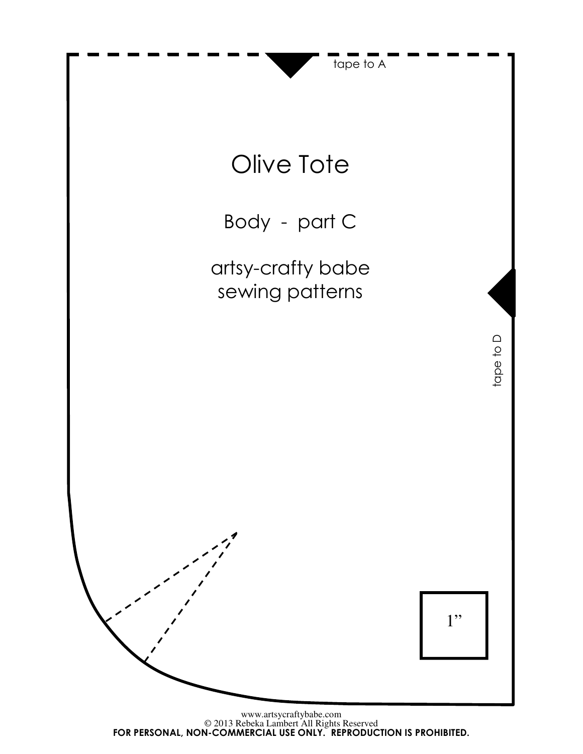

FOR PERSONAL, NON-COMMERCIAL USE ONLY. REPRODUCTION IS PROHIBITED.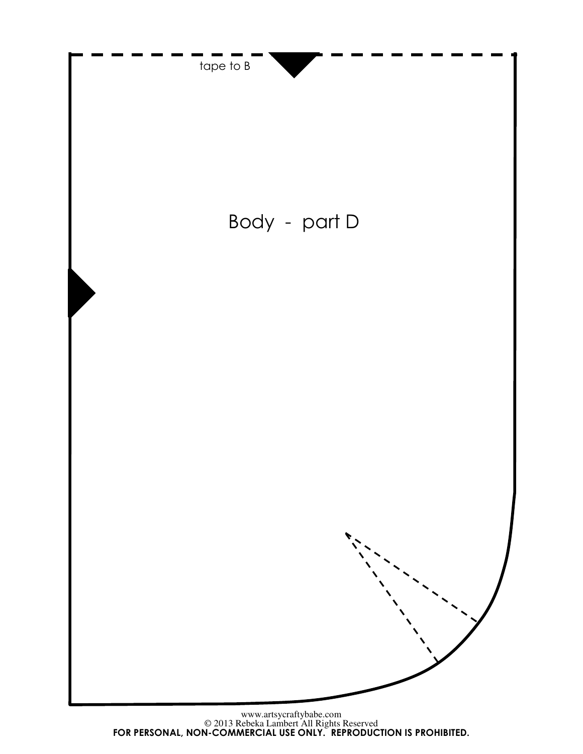

© 2013 Rebeka Lambert All Rights Reserved www.artsycraftybabe.com FOR PERSONAL, NON-COMMERCIAL USE ONLY. REPRODUCTION IS PROHIBITED.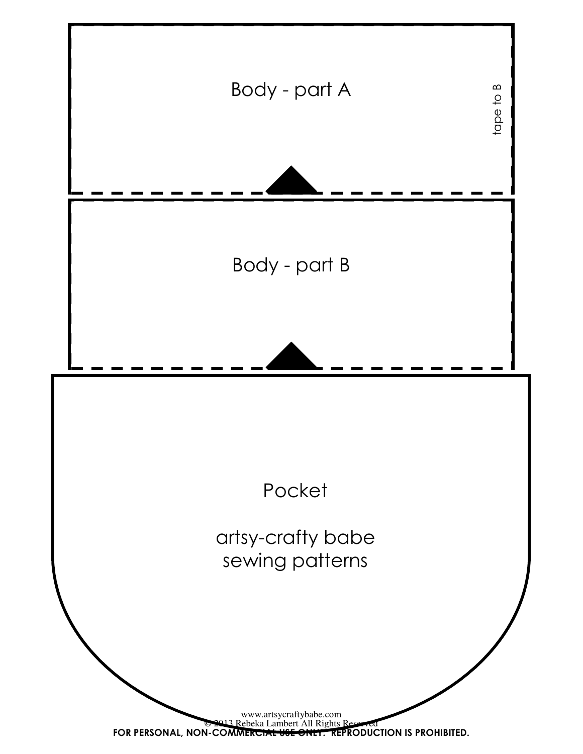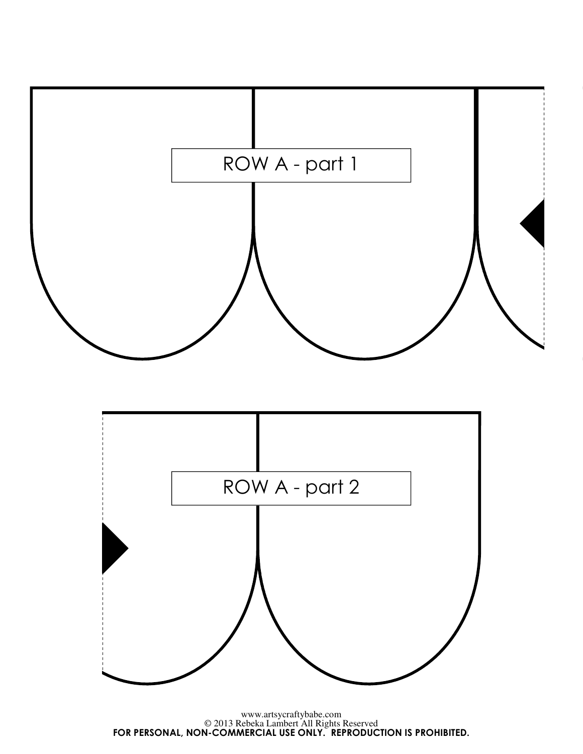

© 2013 Rebeka Lambert All Rights Reserved FOR PERSONAL, NON-COMMERCIAL USE ONLY. REPRODUCTION IS PROHIBITED.